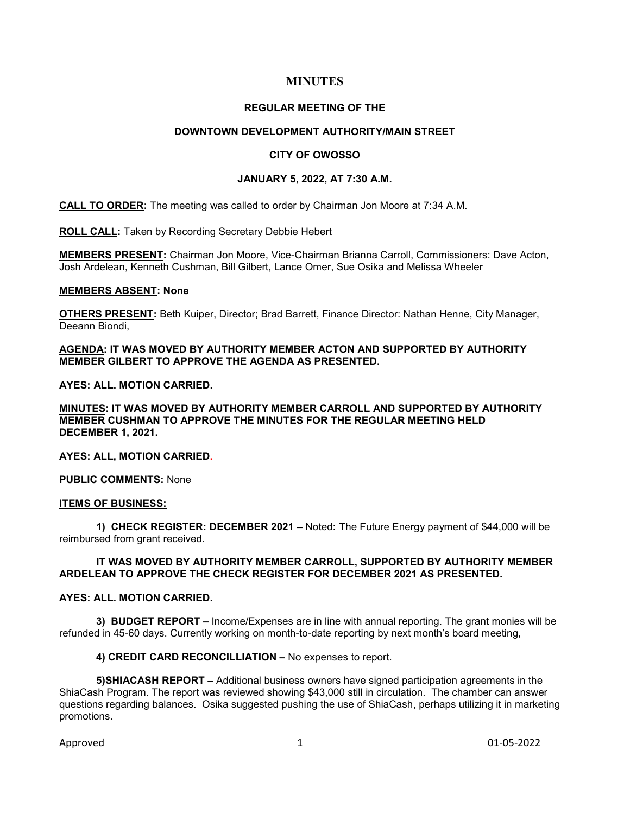# **MINUTES**

### **REGULAR MEETING OF THE**

# **DOWNTOWN DEVELOPMENT AUTHORITY/MAIN STREET**

# **CITY OF OWOSSO**

### **JANUARY 5, 2022, AT 7:30 A.M.**

**CALL TO ORDER:** The meeting was called to order by Chairman Jon Moore at 7:34 A.M.

**ROLL CALL:** Taken by Recording Secretary Debbie Hebert

**MEMBERS PRESENT:** Chairman Jon Moore, Vice-Chairman Brianna Carroll, Commissioners: Dave Acton, Josh Ardelean, Kenneth Cushman, Bill Gilbert, Lance Omer, Sue Osika and Melissa Wheeler

#### **MEMBERS ABSENT: None**

**OTHERS PRESENT:** Beth Kuiper, Director; Brad Barrett, Finance Director: Nathan Henne, City Manager, Deeann Biondi,

# **AGENDA: IT WAS MOVED BY AUTHORITY MEMBER ACTON AND SUPPORTED BY AUTHORITY MEMBER GILBERT TO APPROVE THE AGENDA AS PRESENTED.**

**AYES: ALL. MOTION CARRIED.** 

**MINUTES: IT WAS MOVED BY AUTHORITY MEMBER CARROLL AND SUPPORTED BY AUTHORITY MEMBER CUSHMAN TO APPROVE THE MINUTES FOR THE REGULAR MEETING HELD DECEMBER 1, 2021.** 

**AYES: ALL, MOTION CARRIED.** 

**PUBLIC COMMENTS:** None

### **ITEMS OF BUSINESS:**

**1) CHECK REGISTER: DECEMBER 2021 –** Noted**:** The Future Energy payment of \$44,000 will be reimbursed from grant received.

### **IT WAS MOVED BY AUTHORITY MEMBER CARROLL, SUPPORTED BY AUTHORITY MEMBER ARDELEAN TO APPROVE THE CHECK REGISTER FOR DECEMBER 2021 AS PRESENTED.**

### **AYES: ALL. MOTION CARRIED.**

**3) BUDGET REPORT –** Income/Expenses are in line with annual reporting. The grant monies will be refunded in 45-60 days. Currently working on month-to-date reporting by next month's board meeting,

#### **4) CREDIT CARD RECONCILLIATION –** No expenses to report.

**5)SHIACASH REPORT –** Additional business owners have signed participation agreements in the ShiaCash Program. The report was reviewed showing \$43,000 still in circulation. The chamber can answer questions regarding balances. Osika suggested pushing the use of ShiaCash, perhaps utilizing it in marketing promotions.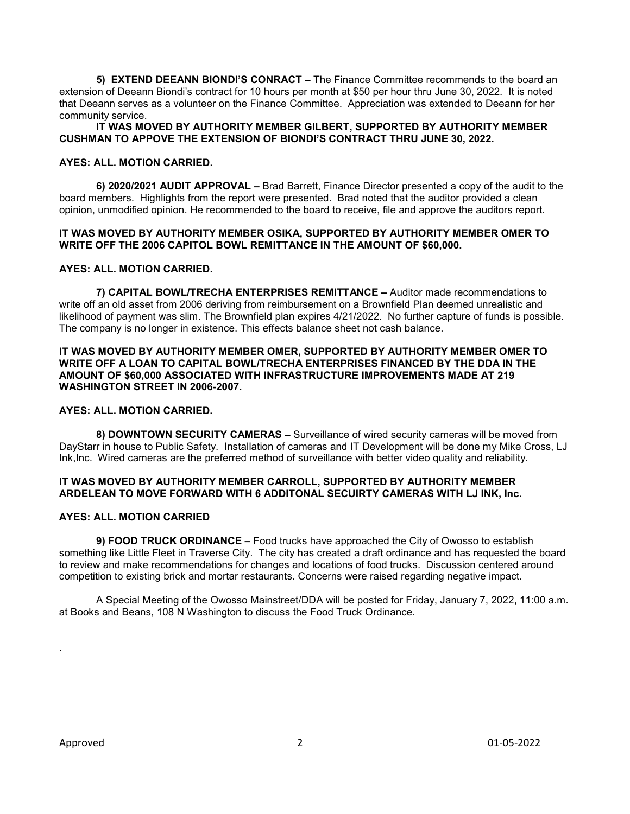**5) EXTEND DEEANN BIONDI'S CONRACT –** The Finance Committee recommends to the board an extension of Deeann Biondi's contract for 10 hours per month at \$50 per hour thru June 30, 2022. It is noted that Deeann serves as a volunteer on the Finance Committee. Appreciation was extended to Deeann for her community service.

### **IT WAS MOVED BY AUTHORITY MEMBER GILBERT, SUPPORTED BY AUTHORITY MEMBER CUSHMAN TO APPOVE THE EXTENSION OF BIONDI'S CONTRACT THRU JUNE 30, 2022.**

### **AYES: ALL. MOTION CARRIED.**

**6) 2020/2021 AUDIT APPROVAL –** Brad Barrett, Finance Director presented a copy of the audit to the board members. Highlights from the report were presented. Brad noted that the auditor provided a clean opinion, unmodified opinion. He recommended to the board to receive, file and approve the auditors report.

# **IT WAS MOVED BY AUTHORITY MEMBER OSIKA, SUPPORTED BY AUTHORITY MEMBER OMER TO WRITE OFF THE 2006 CAPITOL BOWL REMITTANCE IN THE AMOUNT OF \$60,000.**

#### **AYES: ALL. MOTION CARRIED.**

**7) CAPITAL BOWL/TRECHA ENTERPRISES REMITTANCE –** Auditor made recommendations to write off an old asset from 2006 deriving from reimbursement on a Brownfield Plan deemed unrealistic and likelihood of payment was slim. The Brownfield plan expires 4/21/2022. No further capture of funds is possible. The company is no longer in existence. This effects balance sheet not cash balance.

### **IT WAS MOVED BY AUTHORITY MEMBER OMER, SUPPORTED BY AUTHORITY MEMBER OMER TO WRITE OFF A LOAN TO CAPITAL BOWL/TRECHA ENTERPRISES FINANCED BY THE DDA IN THE AMOUNT OF \$60,000 ASSOCIATED WITH INFRASTRUCTURE IMPROVEMENTS MADE AT 219 WASHINGTON STREET IN 2006-2007.**

#### **AYES: ALL. MOTION CARRIED.**

**8) DOWNTOWN SECURITY CAMERAS –** Surveillance of wired security cameras will be moved from DayStarr in house to Public Safety. Installation of cameras and IT Development will be done my Mike Cross, LJ Ink,Inc. Wired cameras are the preferred method of surveillance with better video quality and reliability.

### **IT WAS MOVED BY AUTHORITY MEMBER CARROLL, SUPPORTED BY AUTHORITY MEMBER ARDELEAN TO MOVE FORWARD WITH 6 ADDITONAL SECUIRTY CAMERAS WITH LJ INK, Inc.**

### **AYES: ALL. MOTION CARRIED**

**9) FOOD TRUCK ORDINANCE –** Food trucks have approached the City of Owosso to establish something like Little Fleet in Traverse City. The city has created a draft ordinance and has requested the board to review and make recommendations for changes and locations of food trucks. Discussion centered around competition to existing brick and mortar restaurants. Concerns were raised regarding negative impact.

A Special Meeting of the Owosso Mainstreet/DDA will be posted for Friday, January 7, 2022, 11:00 a.m. at Books and Beans, 108 N Washington to discuss the Food Truck Ordinance.

.